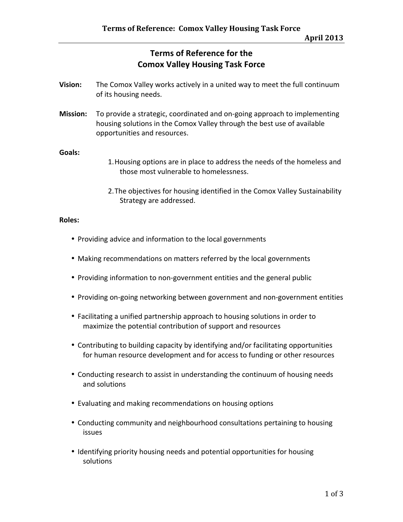# **Terms of Reference for the Comox Valley Housing Task Force**

- **Vision:**  The Comox Valley works actively in a united way to meet the full continuum of its housing needs.
- **Mission:** To provide a strategic, coordinated and on‐going approach to implementing housing solutions in the Comox Valley through the best use of available opportunities and resources.

### **Goals:**

- 1.Housing options are in place to address the needs of the homeless and those most vulnerable to homelessness.
- 2.The objectives for housing identified in the Comox Valley Sustainability Strategy are addressed.

#### **Roles:**

- Providing advice and information to the local governments
- Making recommendations on matters referred by the local governments
- Providing information to non-government entities and the general public
- Providing on‐going networking between government and non‐government entities
- Facilitating a unified partnership approach to housing solutions in order to maximize the potential contribution of support and resources
- Contributing to building capacity by identifying and/or facilitating opportunities for human resource development and for access to funding or other resources
- Conducting research to assist in understanding the continuum of housing needs and solutions
- Evaluating and making recommendations on housing options
- Conducting community and neighbourhood consultations pertaining to housing issues
- Identifying priority housing needs and potential opportunities for housing solutions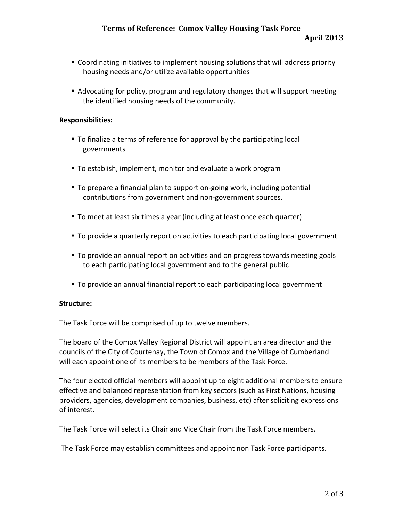- Coordinating initiatives to implement housing solutions that will address priority housing needs and/or utilize available opportunities
- Advocating for policy, program and regulatory changes that will support meeting the identified housing needs of the community.

#### **Responsibilities:**

- To finalize a terms of reference for approval by the participating local governments
- To establish, implement, monitor and evaluate a work program
- To prepare a financial plan to support on-going work, including potential contributions from government and non‐government sources.
- To meet at least six times a year (including at least once each quarter)
- To provide a quarterly report on activities to each participating local government
- To provide an annual report on activities and on progress towards meeting goals to each participating local government and to the general public
- To provide an annual financial report to each participating local government

## **Structure:**

The Task Force will be comprised of up to twelve members.

The board of the Comox Valley Regional District will appoint an area director and the councils of the City of Courtenay, the Town of Comox and the Village of Cumberland will each appoint one of its members to be members of the Task Force.

The four elected official members will appoint up to eight additional members to ensure effective and balanced representation from key sectors (such as First Nations, housing providers, agencies, development companies, business, etc) after soliciting expressions of interest.

The Task Force will select its Chair and Vice Chair from the Task Force members.

The Task Force may establish committees and appoint non Task Force participants.